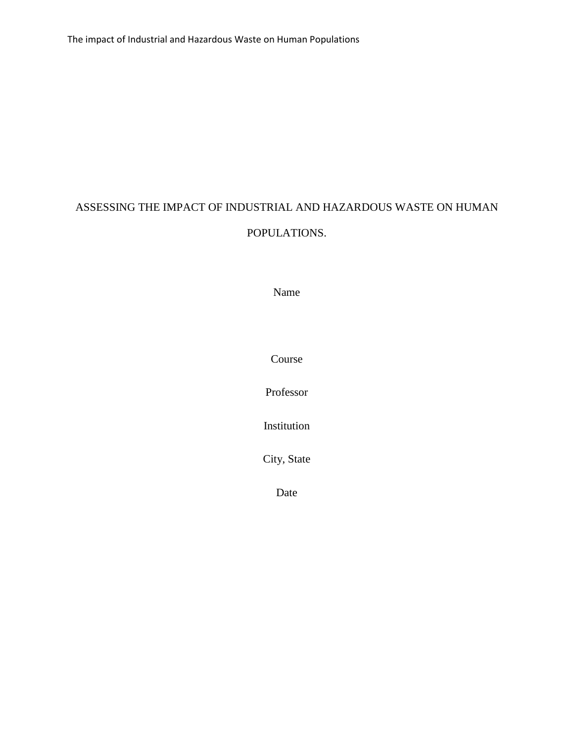# ASSESSING THE IMPACT OF INDUSTRIAL AND HAZARDOUS WASTE ON HUMAN POPULATIONS.

Name

Course

Professor

Institution

City, State

Date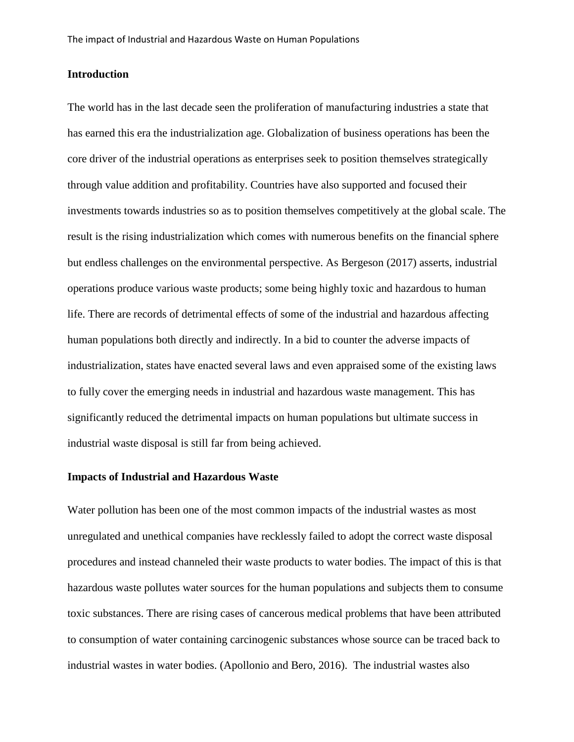## **Introduction**

The world has in the last decade seen the proliferation of manufacturing industries a state that has earned this era the industrialization age. Globalization of business operations has been the core driver of the industrial operations as enterprises seek to position themselves strategically through value addition and profitability. Countries have also supported and focused their investments towards industries so as to position themselves competitively at the global scale. The result is the rising industrialization which comes with numerous benefits on the financial sphere but endless challenges on the environmental perspective. As Bergeson (2017) asserts, industrial operations produce various waste products; some being highly toxic and hazardous to human life. There are records of detrimental effects of some of the industrial and hazardous affecting human populations both directly and indirectly. In a bid to counter the adverse impacts of industrialization, states have enacted several laws and even appraised some of the existing laws to fully cover the emerging needs in industrial and hazardous waste management. This has significantly reduced the detrimental impacts on human populations but ultimate success in industrial waste disposal is still far from being achieved.

### **Impacts of Industrial and Hazardous Waste**

Water pollution has been one of the most common impacts of the industrial wastes as most unregulated and unethical companies have recklessly failed to adopt the correct waste disposal procedures and instead channeled their waste products to water bodies. The impact of this is that hazardous waste pollutes water sources for the human populations and subjects them to consume toxic substances. There are rising cases of cancerous medical problems that have been attributed to consumption of water containing carcinogenic substances whose source can be traced back to industrial wastes in water bodies. (Apollonio and Bero, 2016). The industrial wastes also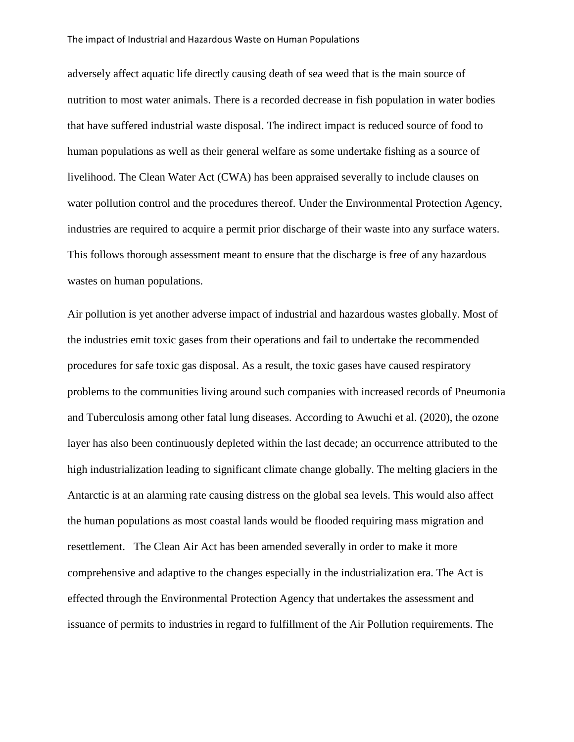#### The impact of Industrial and Hazardous Waste on Human Populations

adversely affect aquatic life directly causing death of sea weed that is the main source of nutrition to most water animals. There is a recorded decrease in fish population in water bodies that have suffered industrial waste disposal. The indirect impact is reduced source of food to human populations as well as their general welfare as some undertake fishing as a source of livelihood. The Clean Water Act (CWA) has been appraised severally to include clauses on water pollution control and the procedures thereof. Under the Environmental Protection Agency, industries are required to acquire a permit prior discharge of their waste into any surface waters. This follows thorough assessment meant to ensure that the discharge is free of any hazardous wastes on human populations.

Air pollution is yet another adverse impact of industrial and hazardous wastes globally. Most of the industries emit toxic gases from their operations and fail to undertake the recommended procedures for safe toxic gas disposal. As a result, the toxic gases have caused respiratory problems to the communities living around such companies with increased records of Pneumonia and Tuberculosis among other fatal lung diseases. According to Awuchi et al. (2020), the ozone layer has also been continuously depleted within the last decade; an occurrence attributed to the high industrialization leading to significant climate change globally. The melting glaciers in the Antarctic is at an alarming rate causing distress on the global sea levels. This would also affect the human populations as most coastal lands would be flooded requiring mass migration and resettlement. The Clean Air Act has been amended severally in order to make it more comprehensive and adaptive to the changes especially in the industrialization era. The Act is effected through the Environmental Protection Agency that undertakes the assessment and issuance of permits to industries in regard to fulfillment of the Air Pollution requirements. The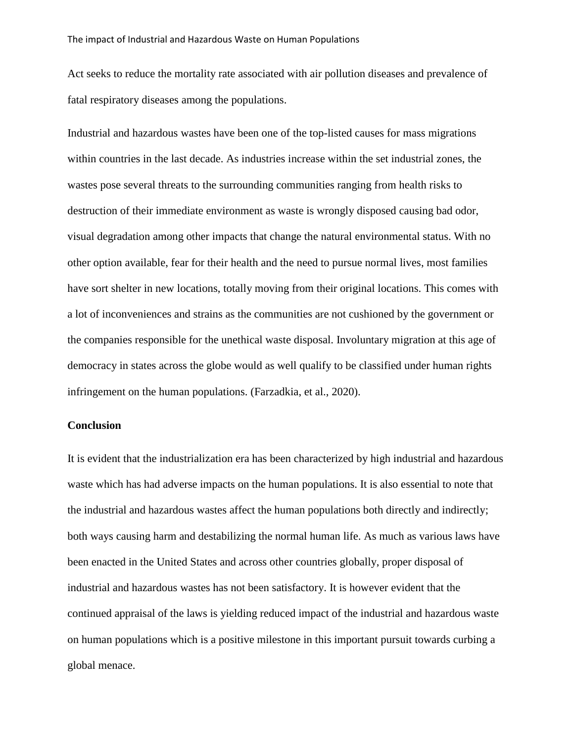Act seeks to reduce the mortality rate associated with air pollution diseases and prevalence of fatal respiratory diseases among the populations.

Industrial and hazardous wastes have been one of the top-listed causes for mass migrations within countries in the last decade. As industries increase within the set industrial zones, the wastes pose several threats to the surrounding communities ranging from health risks to destruction of their immediate environment as waste is wrongly disposed causing bad odor, visual degradation among other impacts that change the natural environmental status. With no other option available, fear for their health and the need to pursue normal lives, most families have sort shelter in new locations, totally moving from their original locations. This comes with a lot of inconveniences and strains as the communities are not cushioned by the government or the companies responsible for the unethical waste disposal. Involuntary migration at this age of democracy in states across the globe would as well qualify to be classified under human rights infringement on the human populations. (Farzadkia, et al., 2020).

# **Conclusion**

It is evident that the industrialization era has been characterized by high industrial and hazardous waste which has had adverse impacts on the human populations. It is also essential to note that the industrial and hazardous wastes affect the human populations both directly and indirectly; both ways causing harm and destabilizing the normal human life. As much as various laws have been enacted in the United States and across other countries globally, proper disposal of industrial and hazardous wastes has not been satisfactory. It is however evident that the continued appraisal of the laws is yielding reduced impact of the industrial and hazardous waste on human populations which is a positive milestone in this important pursuit towards curbing a global menace.